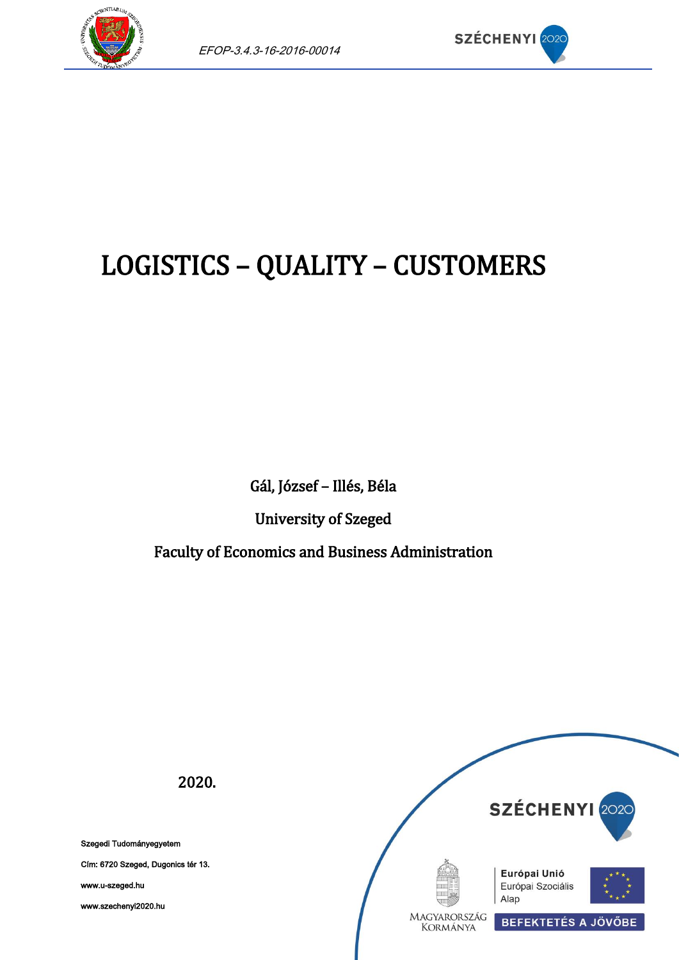



# LOGISTICS – QUALITY – CUSTOMERS

Gál, József – Illés, Béla

University of Szeged

Faculty of Economics and Business Administration



Szegedi Tudományegyetem

Cím: 6720 Szeged, Dugonics tér 13.

www.u-szeged.hu

www.szechenyi2020.hu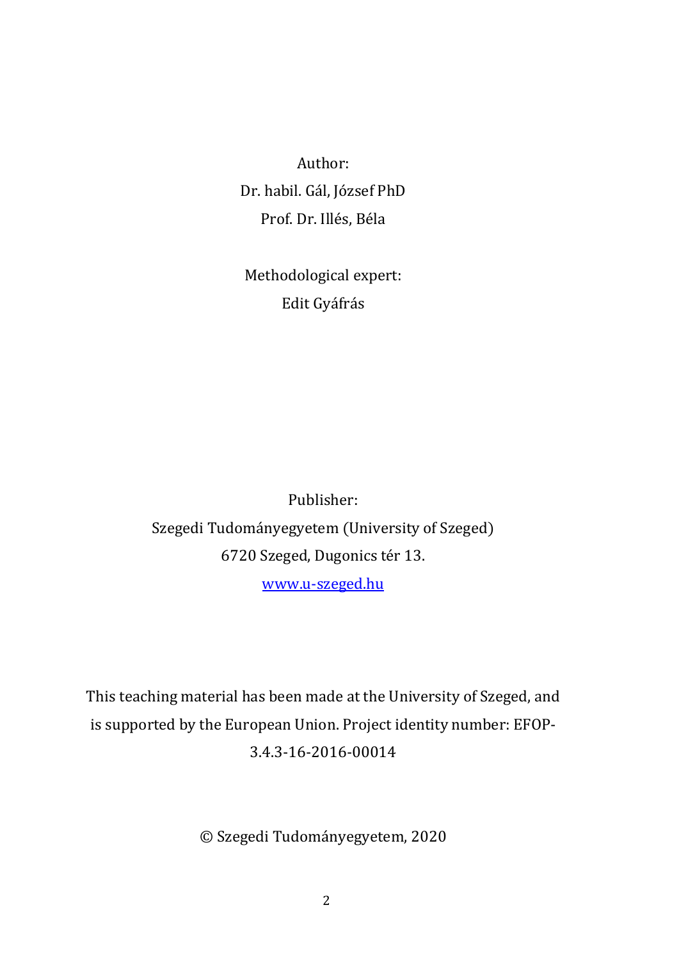Author: Dr. habil. Gál, József PhD Prof. Dr. Illés, Béla

Methodological expert: Edit Gyáfrás

Publisher: Szegedi Tudományegyetem (University of Szeged) 6720 Szeged, Dugonics tér 13. [www.u-szeged.hu](http://www.u-szeged.hu/)

This teaching material has been made at the University of Szeged, and is supported by the European Union. Project identity number: EFOP-3.4.3-16-2016-00014

© Szegedi Tudományegyetem, 2020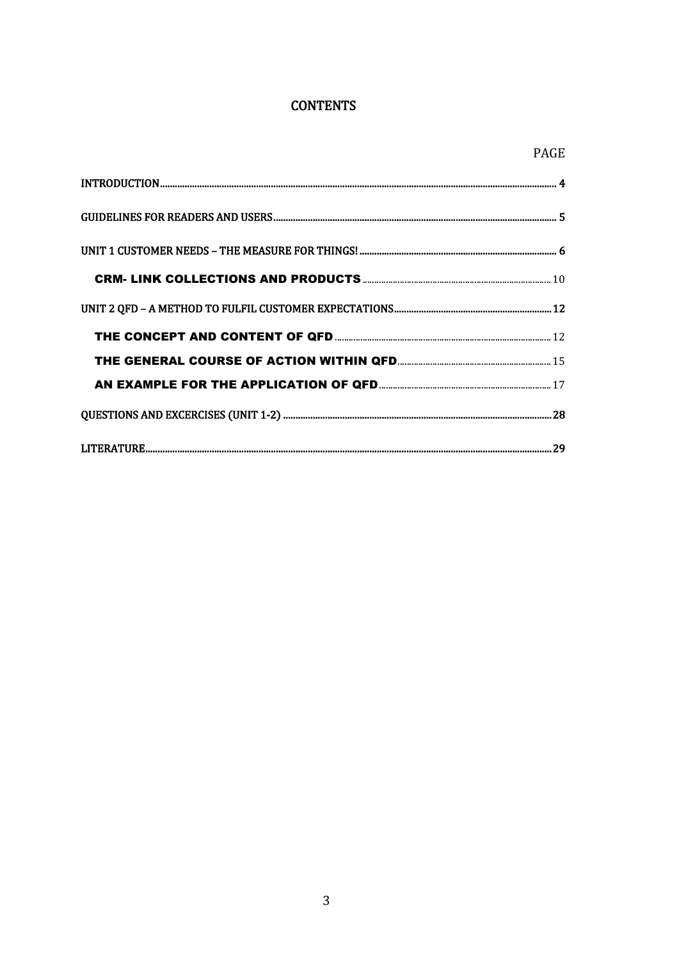#### **CONTENTS**

<span id="page-2-0"></span>

| <b>PAGE</b> |
|-------------|
|             |
|             |
|             |
|             |
|             |
|             |
|             |
|             |
|             |
|             |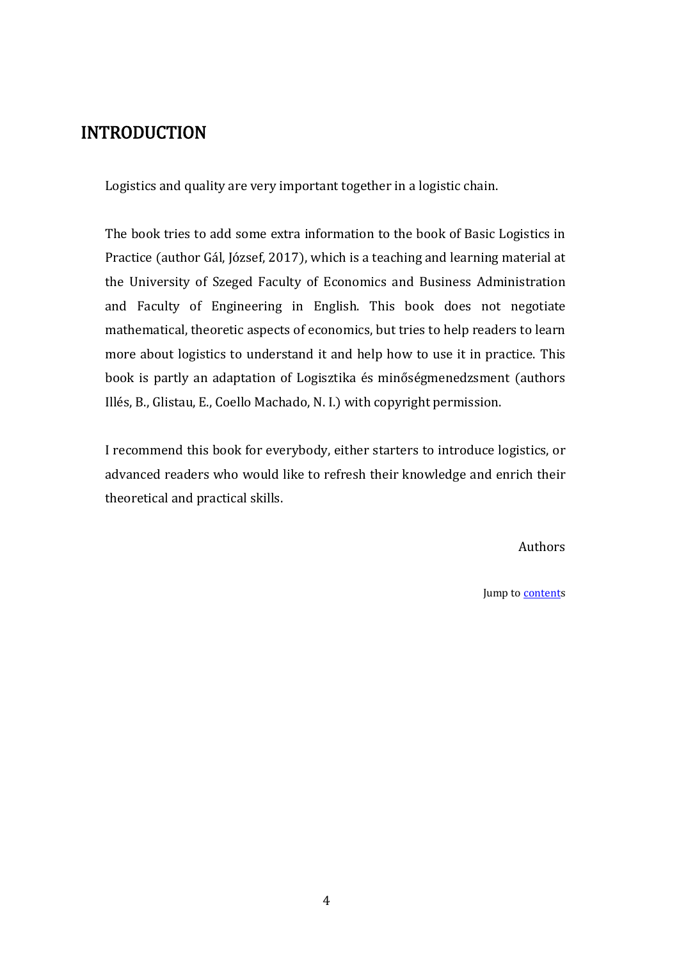## <span id="page-3-0"></span>INTRODUCTION

Logistics and quality are very important together in a logistic chain.

The book tries to add some extra information to the book of Basic Logistics in Practice (author Gál, József, 2017), which is a teaching and learning material at the University of Szeged Faculty of Economics and Business Administration and Faculty of Engineering in English. This book does not negotiate mathematical, theoretic aspects of economics, but tries to help readers to learn more about logistics to understand it and help how to use it in practice. This book is partly an adaptation of Logisztika és minőségmenedzsment (authors Illés, B., Glistau, E., Coello Machado, N. I.) with copyright permission.

I recommend this book for everybody, either starters to introduce logistics, or advanced readers who would like to refresh their knowledge and enrich their theoretical and practical skills.

Authors

Jump t[o contents](#page-2-0)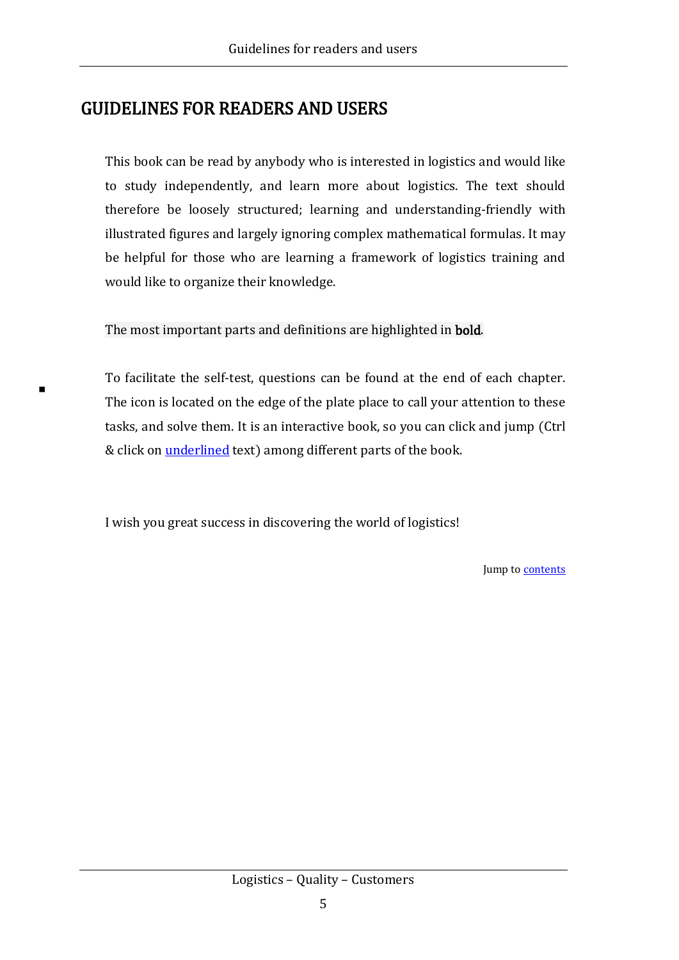## <span id="page-4-0"></span>GUIDELINES FOR READERS AND USERS

This book can be read by anybody who is interested in logistics and would like to study independently, and learn more about logistics. The text should therefore be loosely structured; learning and understanding-friendly with illustrated figures and largely ignoring complex mathematical formulas. It may be helpful for those who are learning a framework of logistics training and would like to organize their knowledge.

The most important parts and definitions are highlighted in bold.

To facilitate the self-test, questions can be found at the end of each chapter. The icon is located on the edge of the plate place to call your attention to these tasks, and solve them. It is an interactive book, so you can click and jump (Ctrl & click on *underlined* text) among different parts of the book.

I wish you great success in discovering the world of logistics!

Jump t[o contents](#page-2-0)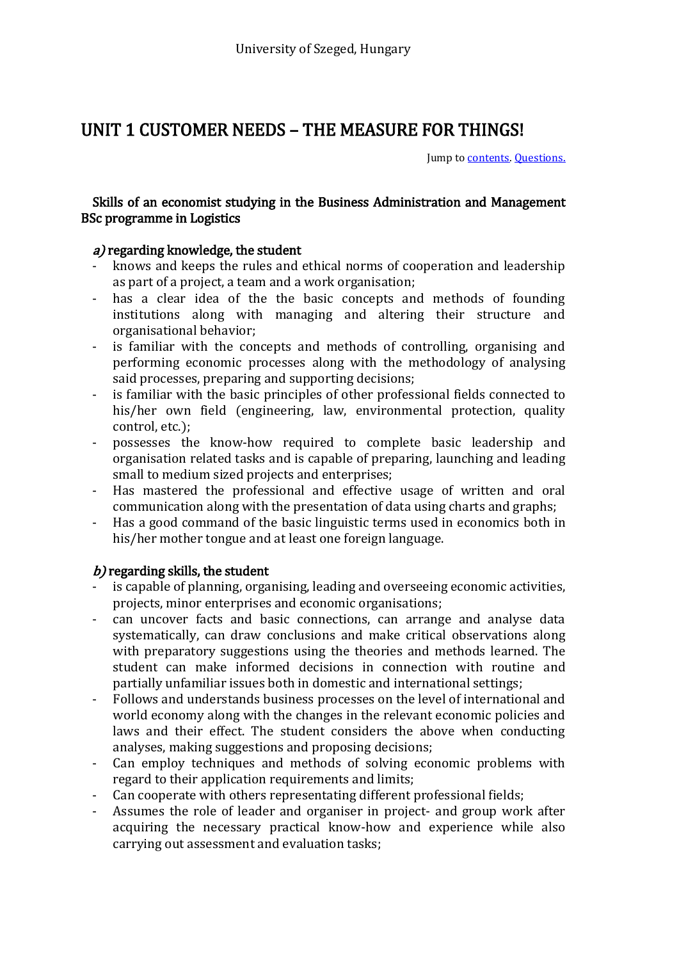## <span id="page-5-0"></span>UNIT 1 CUSTOMER NEEDS – THE MEASURE FOR THINGS!

Jump t[o contents.](#page-2-0) [Questions.](#page-27-0)

#### Skills of an economist studying in the Business Administration and Management BSc programme in Logistics

#### a) regarding knowledge, the student

- knows and keeps the rules and ethical norms of cooperation and leadership as part of a project, a team and a work organisation;
- has a clear idea of the the basic concepts and methods of founding institutions along with managing and altering their structure and organisational behavior;
- is familiar with the concepts and methods of controlling, organising and performing economic processes along with the methodology of analysing said processes, preparing and supporting decisions;
- is familiar with the basic principles of other professional fields connected to his/her own field (engineering, law, environmental protection, quality control, etc.);
- possesses the know-how required to complete basic leadership and organisation related tasks and is capable of preparing, launching and leading small to medium sized projects and enterprises;
- Has mastered the professional and effective usage of written and oral communication along with the presentation of data using charts and graphs;
- Has a good command of the basic linguistic terms used in economics both in his/her mother tongue and at least one foreign language.

#### $b$ ) regarding skills, the student

- is capable of planning, organising, leading and overseeing economic activities, projects, minor enterprises and economic organisations;
- can uncover facts and basic connections, can arrange and analyse data systematically, can draw conclusions and make critical observations along with preparatory suggestions using the theories and methods learned. The student can make informed decisions in connection with routine and partially unfamiliar issues both in domestic and international settings;
- Follows and understands business processes on the level of international and world economy along with the changes in the relevant economic policies and laws and their effect. The student considers the above when conducting analyses, making suggestions and proposing decisions;
- Can employ techniques and methods of solving economic problems with regard to their application requirements and limits;
- Can cooperate with others representating different professional fields;
- Assumes the role of leader and organiser in project- and group work after acquiring the necessary practical know-how and experience while also carrying out assessment and evaluation tasks;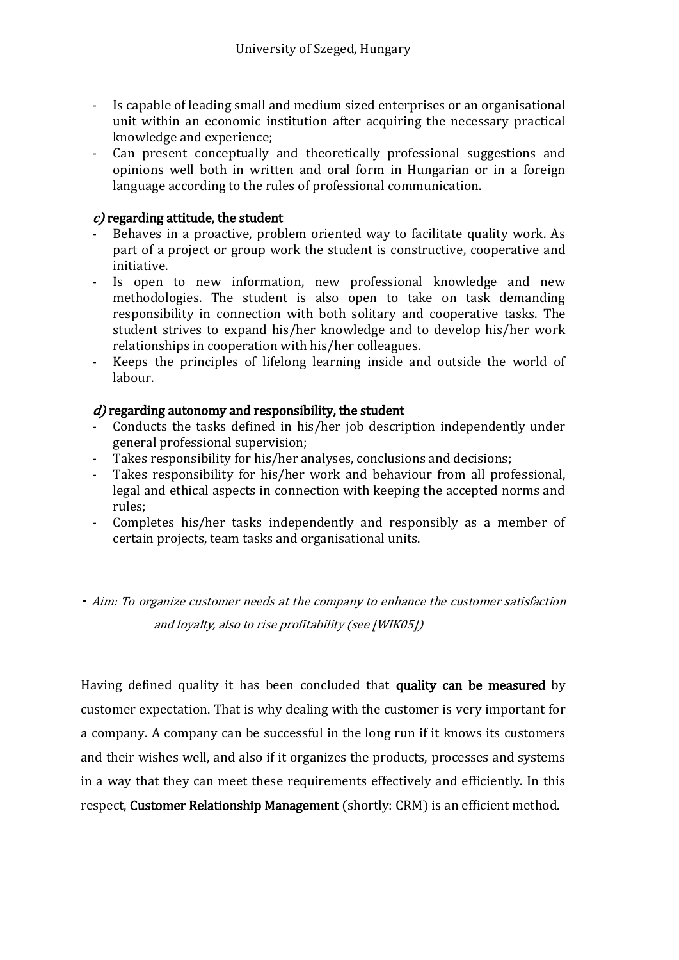- Is capable of leading small and medium sized enterprises or an organisational unit within an economic institution after acquiring the necessary practical knowledge and experience;
- Can present conceptually and theoretically professional suggestions and opinions well both in written and oral form in Hungarian or in a foreign language according to the rules of professional communication.

#### $c$ ) regarding attitude, the student

- Behaves in a proactive, problem oriented way to facilitate quality work. As part of a project or group work the student is constructive, cooperative and initiative.
- Is open to new information, new professional knowledge and new methodologies. The student is also open to take on task demanding responsibility in connection with both solitary and cooperative tasks. The student strives to expand his/her knowledge and to develop his/her work relationships in cooperation with his/her colleagues.
- Keeps the principles of lifelong learning inside and outside the world of labour.

#### $d$ ) regarding autonomy and responsibility, the student

- Conducts the tasks defined in his/her job description independently under general professional supervision;
- Takes responsibility for his/her analyses, conclusions and decisions;
- Takes responsibility for his/her work and behaviour from all professional, legal and ethical aspects in connection with keeping the accepted norms and rules;
- Completes his/her tasks independently and responsibly as a member of certain projects, team tasks and organisational units.

Aim: To organize customer needs at the company to enhance the customer satisfaction and loyalty, also to rise profitability (see [WIK05])

<span id="page-6-0"></span>Having defined quality it has been concluded that quality can be measured by customer expectation. That is why dealing with the customer is very important for a company. A company can be successful in the long run if it knows its customers and their wishes well, and also if it organizes the products, processes and systems in a way that they can meet these requirements effectively and efficiently. In this respect, Customer Relationship Management (shortly: CRM) is an efficient method.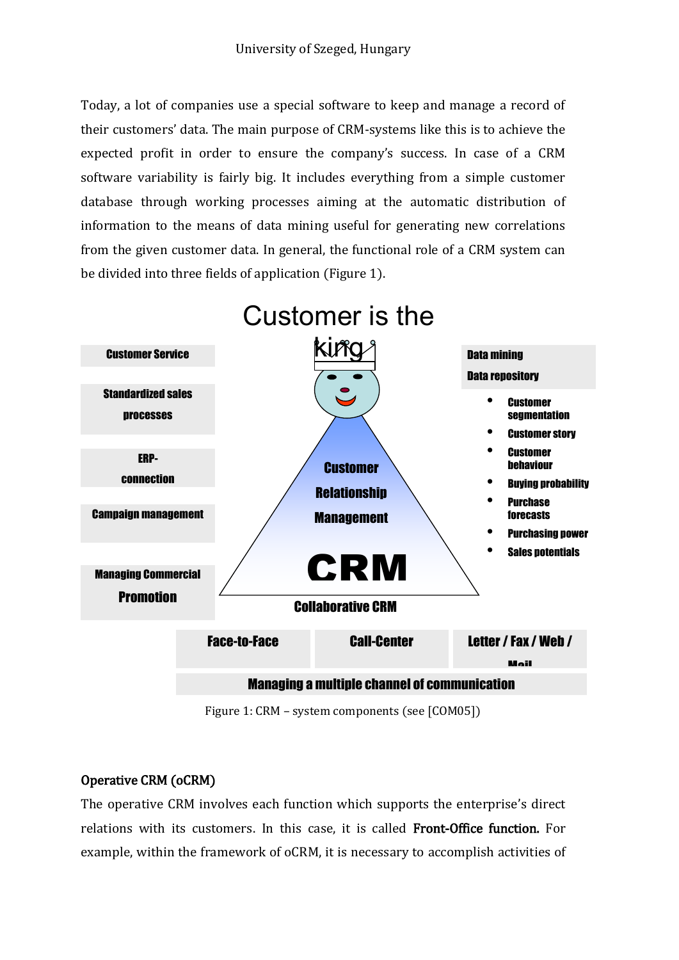Today, a lot of companies use a special software to keep and manage a record of their customers' data. The main purpose of CRM-systems like this is to achieve the expected profit in order to ensure the company's success. In case of a CRM software variability is fairly big. It includes everything from a simple customer database through working processes aiming at the automatic distribution of information to the means of data mining useful for generating new correlations from the given customer data. In general, the functional role of a CRM system can be divided into three fields of application (Figure 1).



Figure 1: CRM – system components (see [COM05])

#### <span id="page-7-0"></span>Operative CRM (oCRM)

The operative CRM involves each function which supports the enterprise's direct relations with its customers. In this case, it is called Front-Office function. For example, within the framework of oCRM, it is necessary to accomplish activities of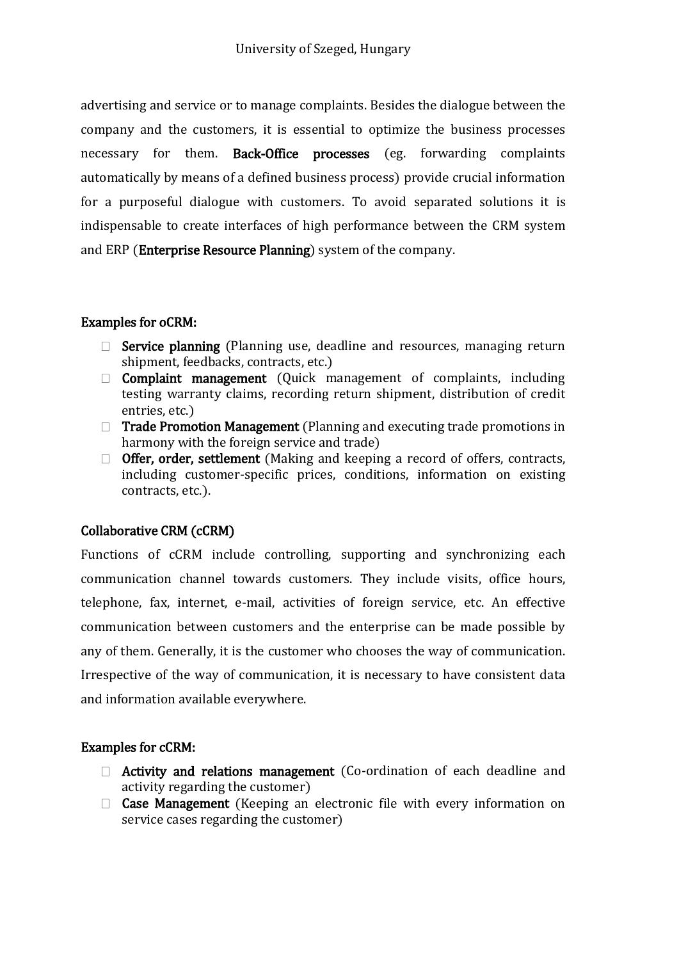advertising and service or to manage complaints. Besides the dialogue between the company and the customers, it is essential to optimize the business processes necessary for them. Back-Office processes (eg. forwarding complaints automatically by means of a defined business process) provide crucial information for a purposeful dialogue with customers. To avoid separated solutions it is indispensable to create interfaces of high performance between the CRM system and ERP (Enterprise Resource Planning) system of the company.

#### <span id="page-8-0"></span>Examples for oCRM:

- $\Box$  Service planning (Planning use, deadline and resources, managing return shipment, feedbacks, contracts, etc.)
- $\Box$  **Complaint management** (Quick management of complaints, including testing warranty claims, recording return shipment, distribution of credit entries, etc.)
- □ Trade Promotion Management (Planning and executing trade promotions in harmony with the foreign service and trade)
- $\Box$  Offer, order, settlement (Making and keeping a record of offers, contracts, including customer-specific prices, conditions, information on existing contracts, etc.).

#### Collaborative CRM (cCRM)

Functions of cCRM include controlling, supporting and synchronizing each communication channel towards customers. They include visits, office hours, telephone, fax, internet, e-mail, activities of foreign service, etc. An effective communication between customers and the enterprise can be made possible by any of them. Generally, it is the customer who chooses the way of communication. Irrespective of the way of communication, it is necessary to have consistent data and information available everywhere.

#### Examples for cCRM:

- $\Box$  Activity and relations management (Co-ordination of each deadline and activity regarding the customer)
- $\Box$  Case Management (Keeping an electronic file with every information on service cases regarding the customer)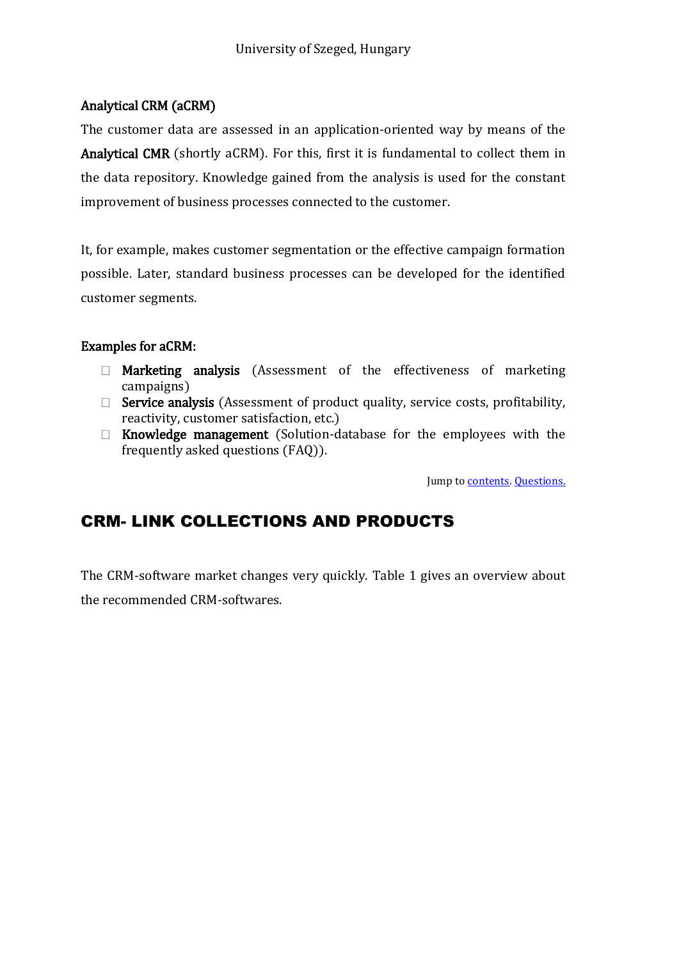#### Analytical CRM (aCRM)

The customer data are assessed in an application-oriented way by means of the Analytical CMR (shortly aCRM). For this, first it is fundamental to collect them in the data repository. Knowledge gained from the analysis is used for the constant improvement of business processes connected to the customer.

It, for example, makes customer segmentation or the effective campaign formation possible. Later, standard business processes can be developed for the identified customer segments.

#### Examples for aCRM:

- $\Box$  Marketing analysis (Assessment of the effectiveness of marketing campaigns)
- $\Box$  Service analysis (Assessment of product quality, service costs, profitability, reactivity, customer satisfaction, etc.)
- $\Box$  Knowledge management (Solution-database for the employees with the frequently asked questions (FAQ)).

Jump to **contents**. [Questions.](#page-27-0)

## <span id="page-9-0"></span>CRM- LINK COLLECTIONS AND PRODUCTS

The CRM-software market changes very quickly. Table 1 gives an overview about the recommended CRM-softwares.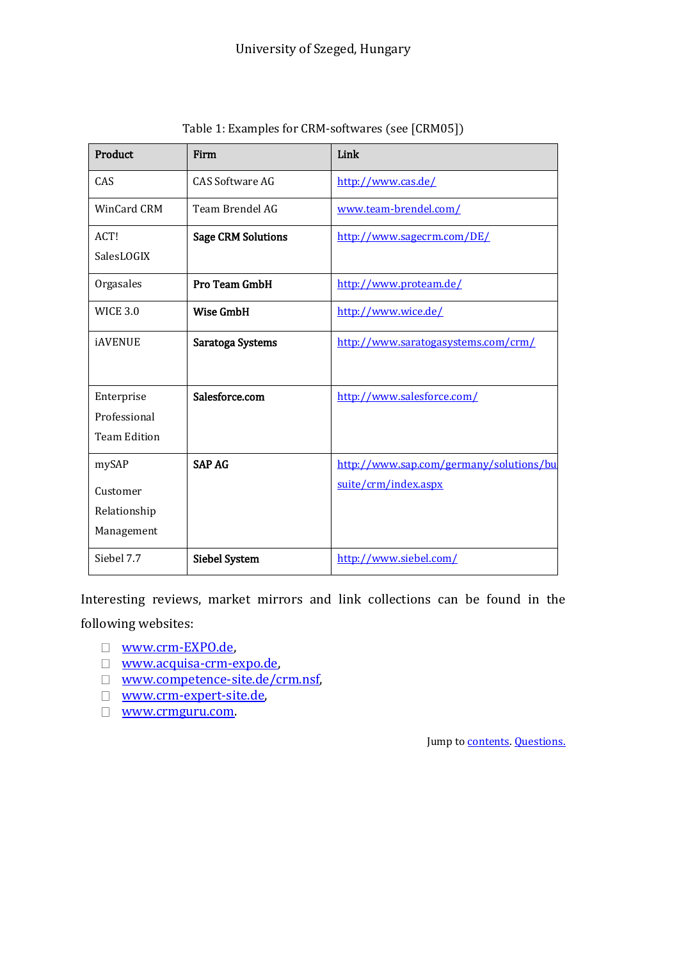| Product             | Firm                      | Link                                    |  |  |  |
|---------------------|---------------------------|-----------------------------------------|--|--|--|
| CAS                 | <b>CAS Software AG</b>    | http://www.cas.de/                      |  |  |  |
| <b>WinCard CRM</b>  | Team Brendel AG           | www.team-brendel.com/                   |  |  |  |
| ACT!                | <b>Sage CRM Solutions</b> | http://www.sagecrm.com/DE/              |  |  |  |
| SalesLOGIX          |                           |                                         |  |  |  |
| Orgasales           | Pro Team GmbH             | http://www.proteam.de/                  |  |  |  |
| <b>WICE 3.0</b>     | <b>Wise GmbH</b>          | http://www.wice.de/                     |  |  |  |
| <b>iAVENUE</b>      | Saratoga Systems          | http://www.saratogasystems.com/crm/     |  |  |  |
|                     |                           |                                         |  |  |  |
| Enterprise          | Salesforce.com            | http://www.salesforce.com/              |  |  |  |
| Professional        |                           |                                         |  |  |  |
| <b>Team Edition</b> |                           |                                         |  |  |  |
| mySAP               | <b>SAP AG</b>             | http://www.sap.com/germany/solutions/bu |  |  |  |
| Customer            |                           | suite/crm/index.aspx                    |  |  |  |
| Relationship        |                           |                                         |  |  |  |
| Management          |                           |                                         |  |  |  |
| Siebel 7.7          | <b>Siebel System</b>      | http://www.siebel.com/                  |  |  |  |

Table 1: Examples for CRM-softwares (see [CRM05])

Interesting reviews, market mirrors and link collections can be found in the following websites:

- [www.crm-EXPO.de,](http://www.crm-expo.de/)
- [www.acquisa-crm-expo.de,](http://www.acquisa-crm-expo.de/)
- □ [www.competence-site.de/crm.nsf,](http://www.competence-site.de/crm.nsf)
- [www.crm-expert-site.de,](http://www.crm-expert-site.de/)
- [www.crmguru.com.](http://www.crmguru.com/)

Jump to **contents**. **Questions**.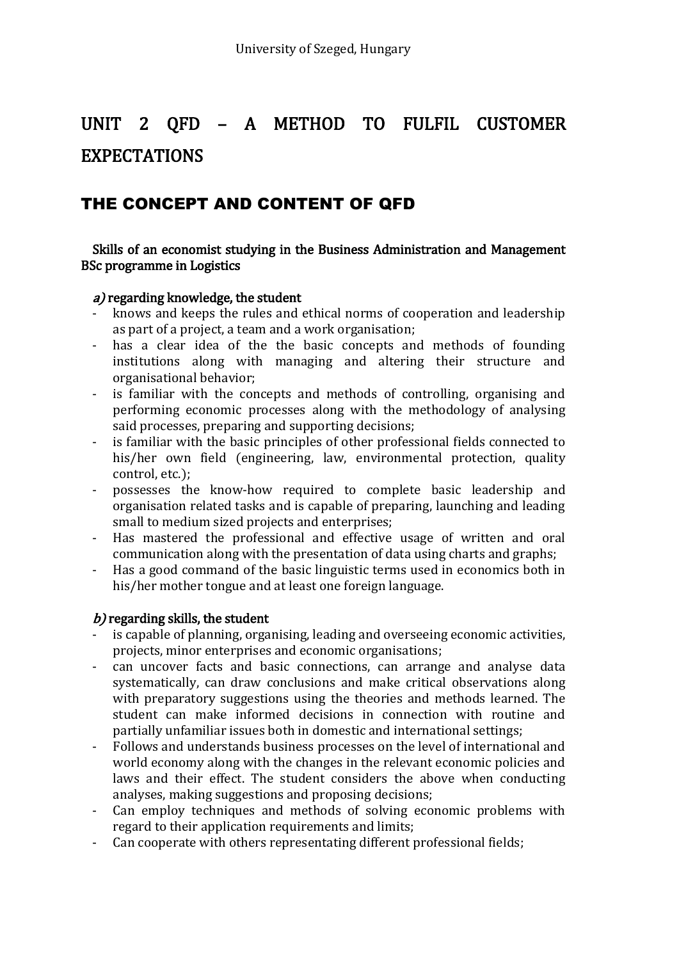## <span id="page-11-0"></span>UNIT 2 QFD – A METHOD TO FULFIL CUSTOMER EXPECTATIONS

## <span id="page-11-1"></span>THE CONCEPT AND CONTENT OF QFD

#### Skills of an economist studying in the Business Administration and Management BSc programme in Logistics

#### a) regarding knowledge, the student

- knows and keeps the rules and ethical norms of cooperation and leadership as part of a project, a team and a work organisation;
- has a clear idea of the the basic concepts and methods of founding institutions along with managing and altering their structure and organisational behavior;
- is familiar with the concepts and methods of controlling, organising and performing economic processes along with the methodology of analysing said processes, preparing and supporting decisions;
- is familiar with the basic principles of other professional fields connected to his/her own field (engineering, law, environmental protection, quality control, etc.);
- possesses the know-how required to complete basic leadership and organisation related tasks and is capable of preparing, launching and leading small to medium sized projects and enterprises;
- Has mastered the professional and effective usage of written and oral communication along with the presentation of data using charts and graphs;
- Has a good command of the basic linguistic terms used in economics both in his/her mother tongue and at least one foreign language.

#### $b$ ) regarding skills, the student

- is capable of planning, organising, leading and overseeing economic activities, projects, minor enterprises and economic organisations;
- can uncover facts and basic connections, can arrange and analyse data systematically, can draw conclusions and make critical observations along with preparatory suggestions using the theories and methods learned. The student can make informed decisions in connection with routine and partially unfamiliar issues both in domestic and international settings;
- Follows and understands business processes on the level of international and world economy along with the changes in the relevant economic policies and laws and their effect. The student considers the above when conducting analyses, making suggestions and proposing decisions;
- Can employ techniques and methods of solving economic problems with regard to their application requirements and limits;
- Can cooperate with others representating different professional fields;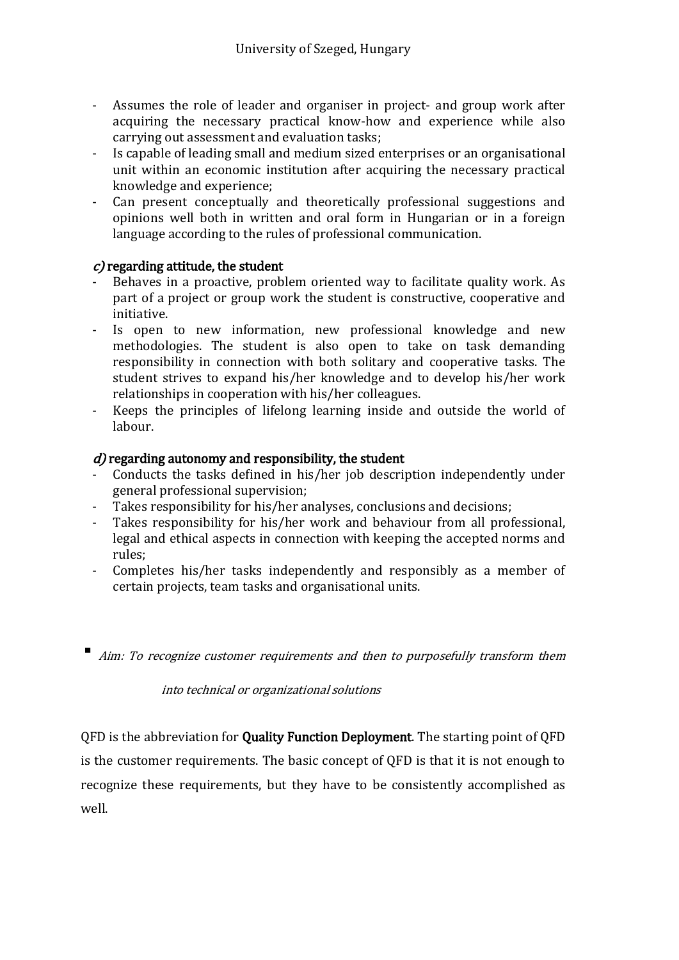- Assumes the role of leader and organiser in project- and group work after acquiring the necessary practical know-how and experience while also carrying out assessment and evaluation tasks;
- Is capable of leading small and medium sized enterprises or an organisational unit within an economic institution after acquiring the necessary practical knowledge and experience;
- Can present conceptually and theoretically professional suggestions and opinions well both in written and oral form in Hungarian or in a foreign language according to the rules of professional communication.

#### $c$ ) regarding attitude, the student

- Behaves in a proactive, problem oriented way to facilitate quality work. As part of a project or group work the student is constructive, cooperative and initiative.
- Is open to new information, new professional knowledge and new methodologies. The student is also open to take on task demanding responsibility in connection with both solitary and cooperative tasks. The student strives to expand his/her knowledge and to develop his/her work relationships in cooperation with his/her colleagues.
- Keeps the principles of lifelong learning inside and outside the world of labour.

#### $d$ ) regarding autonomy and responsibility, the student

- Conducts the tasks defined in his/her job description independently under general professional supervision;
- Takes responsibility for his/her analyses, conclusions and decisions;
- Takes responsibility for his/her work and behaviour from all professional, legal and ethical aspects in connection with keeping the accepted norms and rules;
- Completes his/her tasks independently and responsibly as a member of certain projects, team tasks and organisational units.
- Aim: To recognize customer requirements and then to purposefully transform them

<span id="page-12-0"></span>into technical or organizational solutions

QFD is the abbreviation for Quality Function Deployment. The starting point of QFD is the customer requirements. The basic concept of QFD is that it is not enough to recognize these requirements, but they have to be consistently accomplished as well.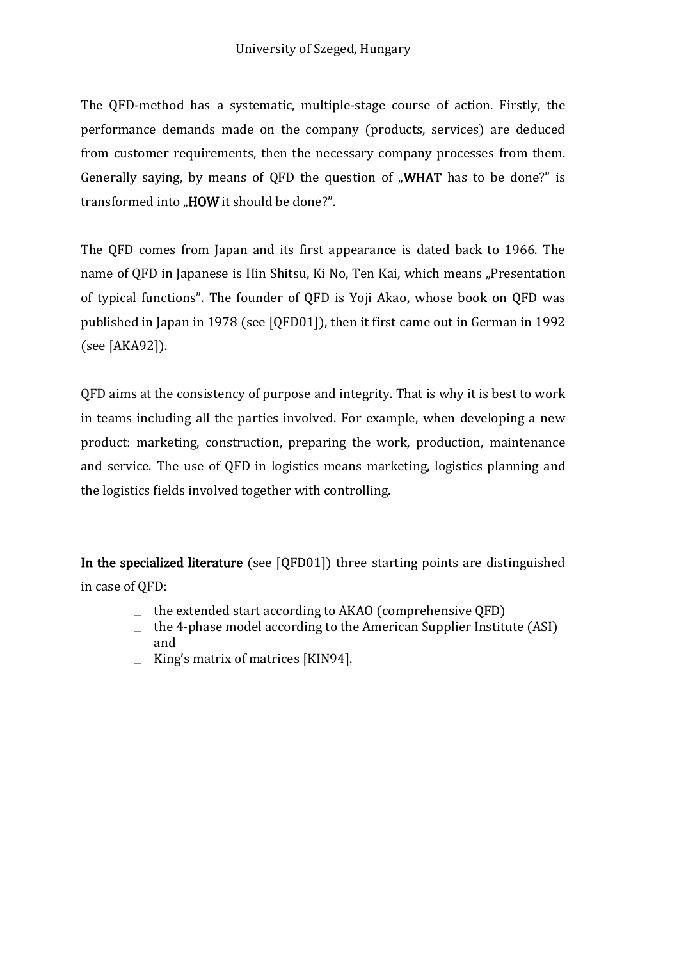The QFD-method has a systematic, multiple-stage course of action. Firstly, the performance demands made on the company (products, services) are deduced from customer requirements, then the necessary company processes from them. Generally saying, by means of QFD the question of  $\mu$ WHAT has to be done?" is transformed into "HOW it should be done?".

<span id="page-13-0"></span>The QFD comes from Japan and its first appearance is dated back to 1966. The name of QFD in Japanese is Hin Shitsu, Ki No, Ten Kai, which means "Presentation of typical functions". The founder of QFD is Yoji Akao, whose book on QFD was published in Japan in 1978 (see [QFD01]), then it first came out in German in 1992 (see [AKA92]).

QFD aims at the consistency of purpose and integrity. That is why it is best to work in teams including all the parties involved. For example, when developing a new product: marketing, construction, preparing the work, production, maintenance and service. The use of QFD in logistics means marketing, logistics planning and the logistics fields involved together with controlling.

In the specialized literature (see [QFD01]) three starting points are distinguished in case of QFD:

- $\Box$  the extended start according to AKAO (comprehensive QFD)
- $\Box$  the 4-phase model according to the American Supplier Institute (ASI) and
- $\Box$  King's matrix of matrices [KIN94].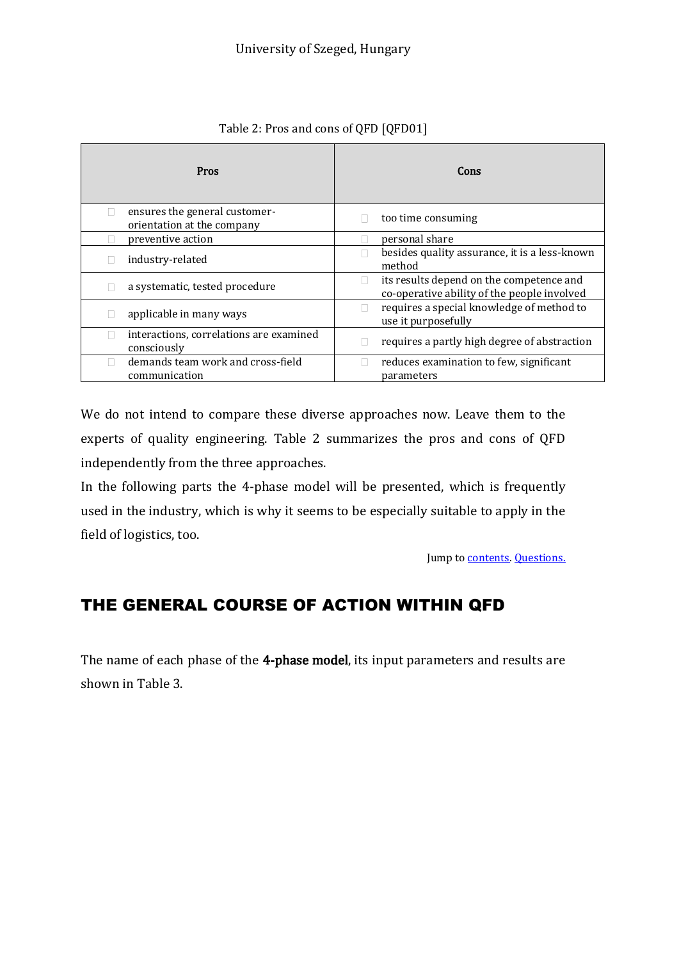| Pros                                                             | Cons                                                                                         |
|------------------------------------------------------------------|----------------------------------------------------------------------------------------------|
| ensures the general customer-<br>L<br>orientation at the company | too time consuming                                                                           |
| preventive action                                                | personal share                                                                               |
| industry-related                                                 | besides quality assurance, it is a less-known<br>H<br>method                                 |
| a systematic, tested procedure                                   | its results depend on the competence and<br>Ш<br>co-operative ability of the people involved |
| applicable in many ways                                          | requires a special knowledge of method to<br>use it purposefully                             |
| interactions, correlations are examined<br>consciously           | requires a partly high degree of abstraction                                                 |
| demands team work and cross-field<br>communication               | reduces examination to few, significant<br>parameters                                        |

Table 2: Pros and cons of QFD [QFD01]

We do not intend to compare these diverse approaches now. Leave them to the experts of quality engineering. Table 2 summarizes the pros and cons of QFD independently from the three approaches.

In the following parts the 4-phase model will be presented, which is frequently used in the industry, which is why it seems to be especially suitable to apply in the field of logistics, too.

Jump t[o contents.](#page-2-0) [Questions.](#page-27-0)

## <span id="page-14-0"></span>THE GENERAL COURSE OF ACTION WITHIN QFD

<span id="page-14-1"></span>The name of each phase of the 4-phase model, its input parameters and results are shown in Table 3.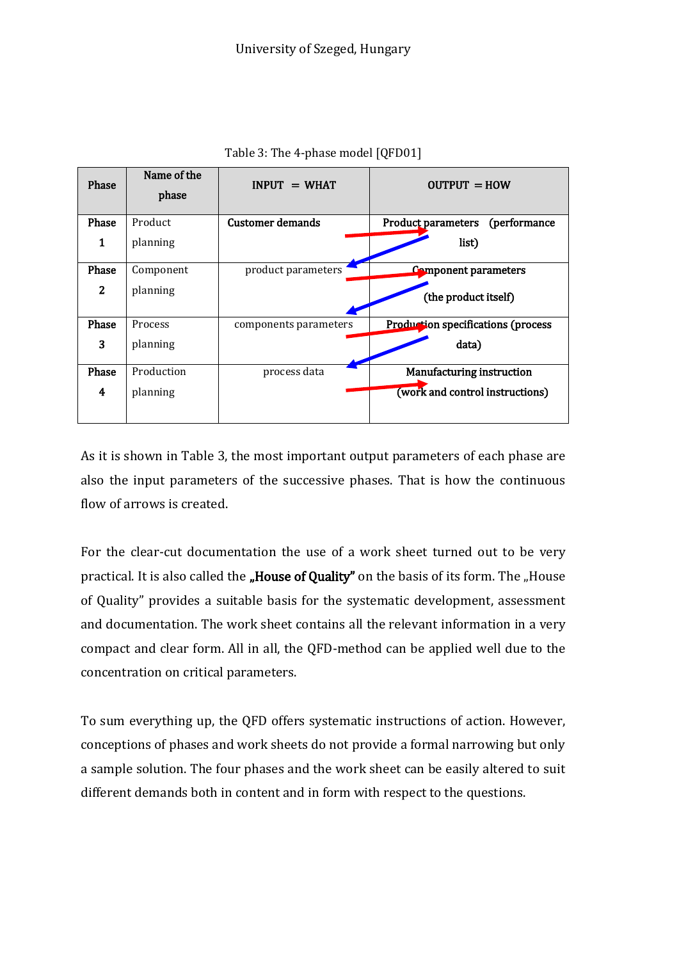| Phase | Name of the<br>phase | $INPIIT = WHAT$         | $OUTPUT = HOW$                             |
|-------|----------------------|-------------------------|--------------------------------------------|
| Phase | Product              | <b>Customer demands</b> | <b>Product parameters</b><br>(performance) |
| 1     | planning             |                         | list)                                      |
| Phase | Component            | product parameters      | <b>Component parameters</b>                |
| 2     | planning             |                         | (the product itself)                       |
| Phase | Process              | components parameters   | Production specifications (process         |
| 3     | planning             |                         | data)                                      |
| Phase | Production           | process data            | Manufacturing instruction                  |
| 4     | planning             |                         | (work and control instructions)            |

Table 3: The 4-phase model [QFD01]

As it is shown in Table 3, the most important output parameters of each phase are also the input parameters of the successive phases. That is how the continuous flow of arrows is created.

<span id="page-15-0"></span>For the clear-cut documentation the use of a work sheet turned out to be very practical. It is also called the "House of Quality" on the basis of its form. The "House of Quality" provides a suitable basis for the systematic development, assessment and documentation. The work sheet contains all the relevant information in a very compact and clear form. All in all, the QFD-method can be applied well due to the concentration on critical parameters.

To sum everything up, the QFD offers systematic instructions of action. However, conceptions of phases and work sheets do not provide a formal narrowing but only a sample solution. The four phases and the work sheet can be easily altered to suit different demands both in content and in form with respect to the questions.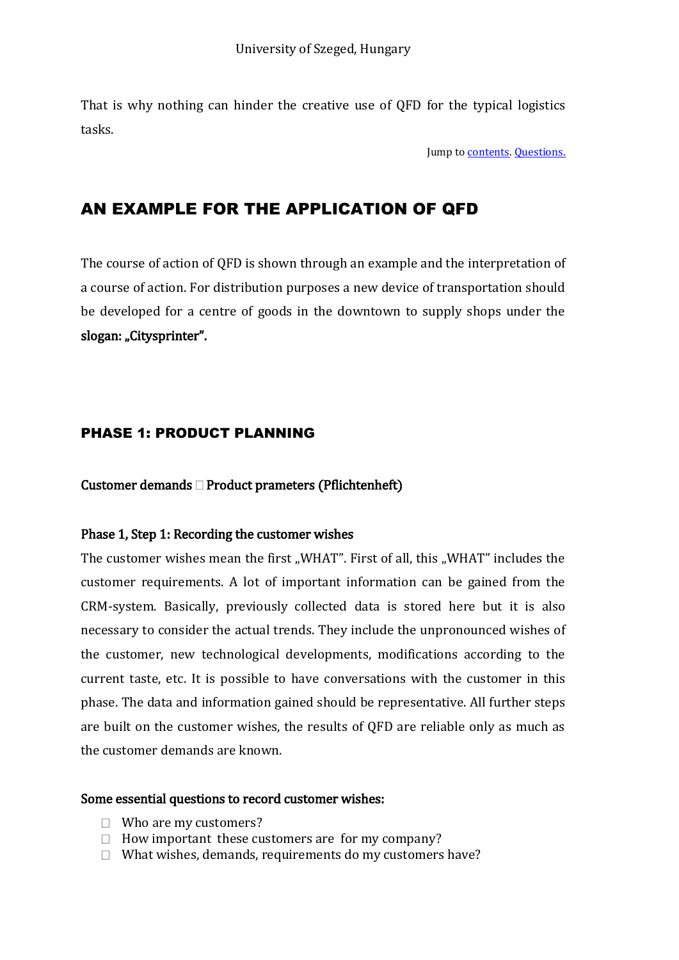That is why nothing can hinder the creative use of QFD for the typical logistics tasks.

Jump t[o contents.](#page-2-0) [Questions.](#page-27-0)

## <span id="page-16-0"></span>AN EXAMPLE FOR THE APPLICATION OF QFD

<span id="page-16-1"></span>The course of action of QFD is shown through an example and the interpretation of a course of action. For distribution purposes a new device of transportation should be developed for a centre of goods in the downtown to supply shops under the slogan: "Citysprinter".

#### <span id="page-16-2"></span>PHASE 1: PRODUCT PLANNING

Customer demands  $\Box$  Product prameters (Pflichtenheft)

#### Phase 1, Step 1: Recording the customer wishes

The customer wishes mean the first "WHAT". First of all, this "WHAT" includes the customer requirements. A lot of important information can be gained from the CRM-system. Basically, previously collected data is stored here but it is also necessary to consider the actual trends. They include the unpronounced wishes of the customer, new technological developments, modifications according to the current taste, etc. It is possible to have conversations with the customer in this phase. The data and information gained should be representative. All further steps are built on the customer wishes, the results of QFD are reliable only as much as the customer demands are known.

#### Some essential questions to record customer wishes:

- $\Box$  Who are my customers?
- $\Box$  How important these customers are for my company?
- $\Box$  What wishes, demands, requirements do my customers have?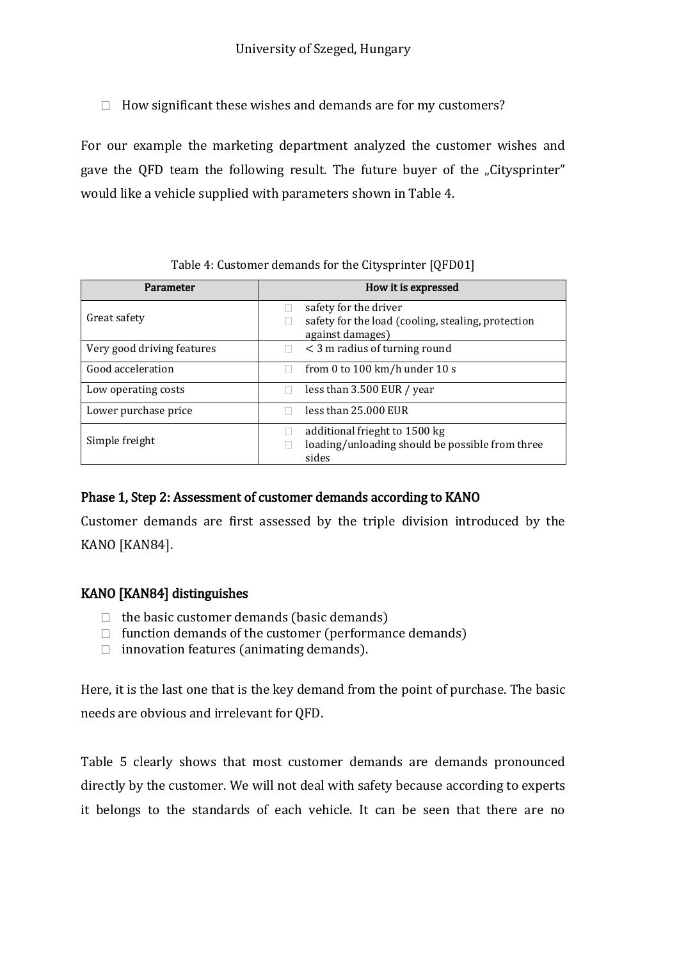$\Box$  How significant these wishes and demands are for my customers?

For our example the marketing department analyzed the customer wishes and gave the OFD team the following result. The future buyer of the "Citysprinter" would like a vehicle supplied with parameters shown in Table 4.

#### Table 4: Customer demands for the Citysprinter [QFD01]

| Parameter                  | How it is expressed                                                                             |
|----------------------------|-------------------------------------------------------------------------------------------------|
| Great safety               | safety for the driver<br>safety for the load (cooling, stealing, protection<br>against damages) |
| Very good driving features | $<$ 3 m radius of turning round                                                                 |
| Good acceleration          | from 0 to 100 km/h under 10 s                                                                   |
| Low operating costs        | less than 3.500 EUR / year                                                                      |
| Lower purchase price       | less than 25,000 EUR                                                                            |
| Simple freight             | additional frieght to 1500 kg<br>loading/unloading should be possible from three<br>sides       |

#### Phase 1, Step 2: Assessment of customer demands according to KANO

Customer demands are first assessed by the triple division introduced by the KANO [KAN84].

#### KANO [KAN84] distinguishes

- $\Box$  the basic customer demands (basic demands)
- $\Box$  function demands of the customer (performance demands)
- $\Box$  innovation features (animating demands).

Here, it is the last one that is the key demand from the point of purchase. The basic needs are obvious and irrelevant for QFD.

Table 5 clearly shows that most customer demands are demands pronounced directly by the customer. We will not deal with safety because according to experts it belongs to the standards of each vehicle. It can be seen that there are no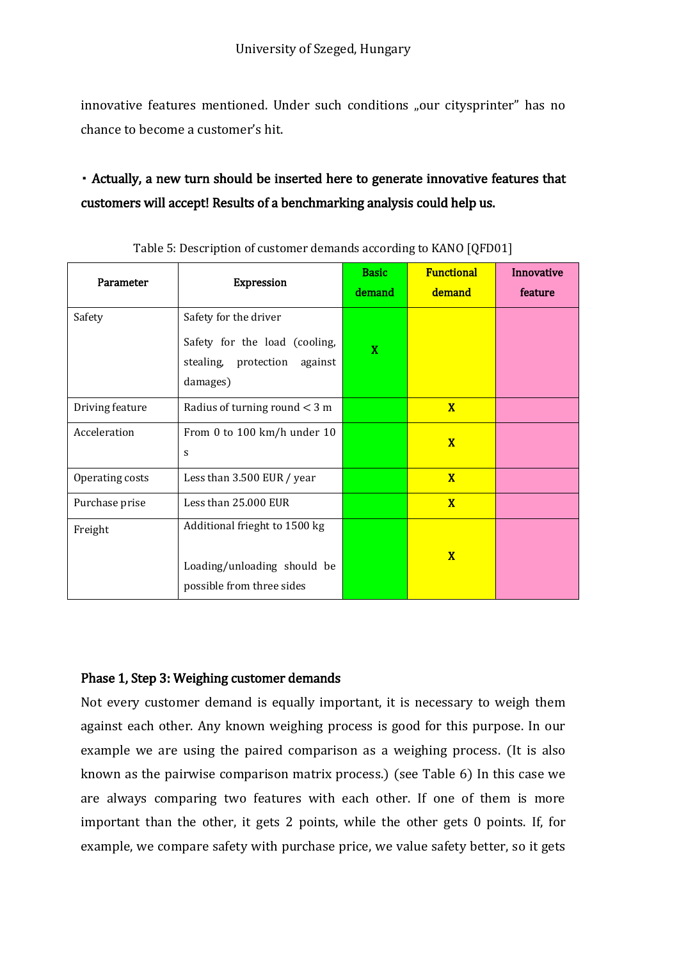innovative features mentioned. Under such conditions "our citysprinter" has no chance to become a customer's hit.

## Actually, a new turn should be inserted here to generate innovative features that customers will accept! Results of a benchmarking analysis could help us.

| Parameter       | <b>Expression</b>                                                                                     | <b>Basic</b><br>demand | <b>Functional</b><br>demand | Innovative<br>feature |
|-----------------|-------------------------------------------------------------------------------------------------------|------------------------|-----------------------------|-----------------------|
| Safety          | Safety for the driver<br>Safety for the load (cooling,<br>stealing, protection<br>against<br>damages) | X                      |                             |                       |
| Driving feature | Radius of turning round $<$ 3 m                                                                       |                        | $\mathbf{X}$                |                       |
| Acceleration    | From 0 to 100 km/h under 10<br>S                                                                      |                        | $\overline{\mathbf{X}}$     |                       |
| Operating costs | Less than 3.500 EUR / year                                                                            |                        | $\overline{\mathbf{X}}$     |                       |
| Purchase prise  | Less than 25,000 EUR                                                                                  |                        | $\overline{\mathbf{X}}$     |                       |
| Freight         | Additional frieght to 1500 kg<br>Loading/unloading should be<br>possible from three sides             |                        | $\overline{\mathbf{X}}$     |                       |

Table 5: Description of customer demands according to KANO [QFD01]

#### Phase 1, Step 3: Weighing customer demands

Not every customer demand is equally important, it is necessary to weigh them against each other. Any known weighing process is good for this purpose. In our example we are using the paired comparison as a weighing process. (It is also known as the pairwise comparison matrix process.) (see Table 6) In this case we are always comparing two features with each other. If one of them is more important than the other, it gets 2 points, while the other gets 0 points. If, for example, we compare safety with purchase price, we value safety better, so it gets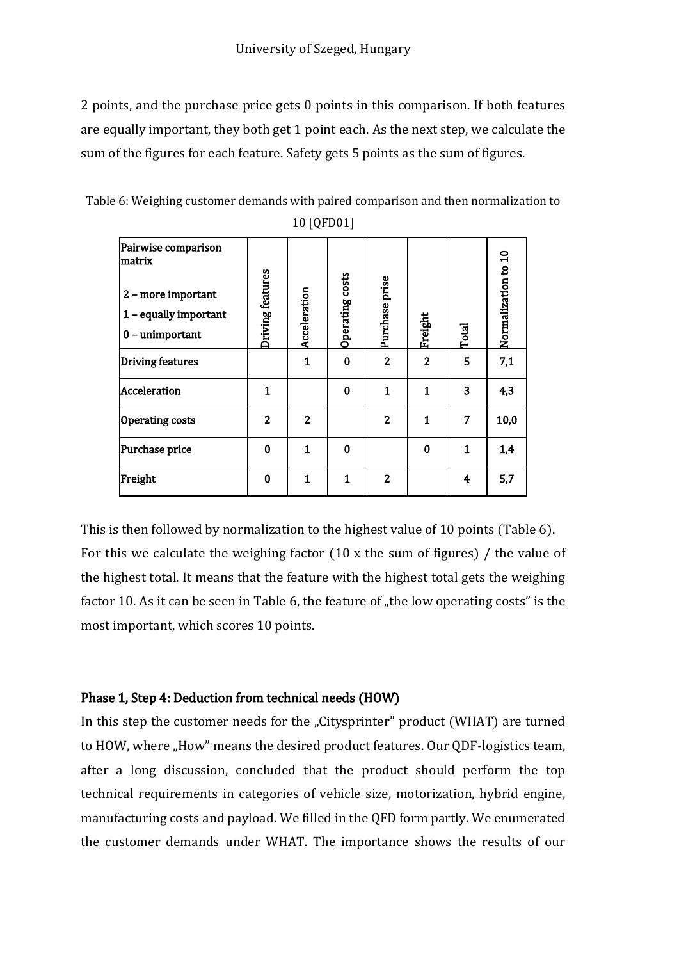2 points, and the purchase price gets 0 points in this comparison. If both features are equally important, they both get 1 point each. As the next step, we calculate the sum of the figures for each feature. Safety gets 5 points as the sum of figures.

| Table 6: Weighing customer demands with paired comparison and then normalization to |
|-------------------------------------------------------------------------------------|
| 10 [QFD01]                                                                          |

| Pairwise comparison<br>lmatrix |                  |                |                 |                |                |       | Normalization to 10 |
|--------------------------------|------------------|----------------|-----------------|----------------|----------------|-------|---------------------|
| 2 - more important             | Driving features |                | Operating costs | Purchase prise |                |       |                     |
| 1 - equally important          |                  |                |                 |                |                |       |                     |
| $0$ – unimportant              |                  | Acceleration   |                 |                | Freight        | Total |                     |
| Driving features               |                  | $\mathbf 1$    | $\bf{0}$        | $\overline{2}$ | $\overline{2}$ | 5     | 7,1                 |
| Acceleration                   | 1                |                | $\bf{0}$        | 1              | 1              | 3     | 4,3                 |
| <b>Operating costs</b>         | $\overline{2}$   | $\overline{2}$ |                 | $\overline{2}$ | $\mathbf{1}$   | 7     | 10,0                |
| Purchase price                 | $\bf{0}$         | $\mathbf{1}$   | $\bf{0}$        |                | $\bf{0}$       | 1     | 1,4                 |
| Freight                        | $\mathbf{0}$     | $\mathbf{1}$   | 1               | $\overline{2}$ |                | 4     | 5,7                 |

This is then followed by normalization to the highest value of 10 points (Table 6). For this we calculate the weighing factor (10 x the sum of figures) / the value of the highest total. It means that the feature with the highest total gets the weighing factor 10. As it can be seen in Table 6, the feature of  $n$ , the low operating costs" is the most important, which scores 10 points.

#### Phase 1, Step 4: Deduction from technical needs (HOW)

In this step the customer needs for the "Citysprinter" product (WHAT) are turned to HOW, where "How" means the desired product features. Our QDF-logistics team, after a long discussion, concluded that the product should perform the top technical requirements in categories of vehicle size, motorization, hybrid engine, manufacturing costs and payload. We filled in the QFD form partly. We enumerated the customer demands under WHAT. The importance shows the results of our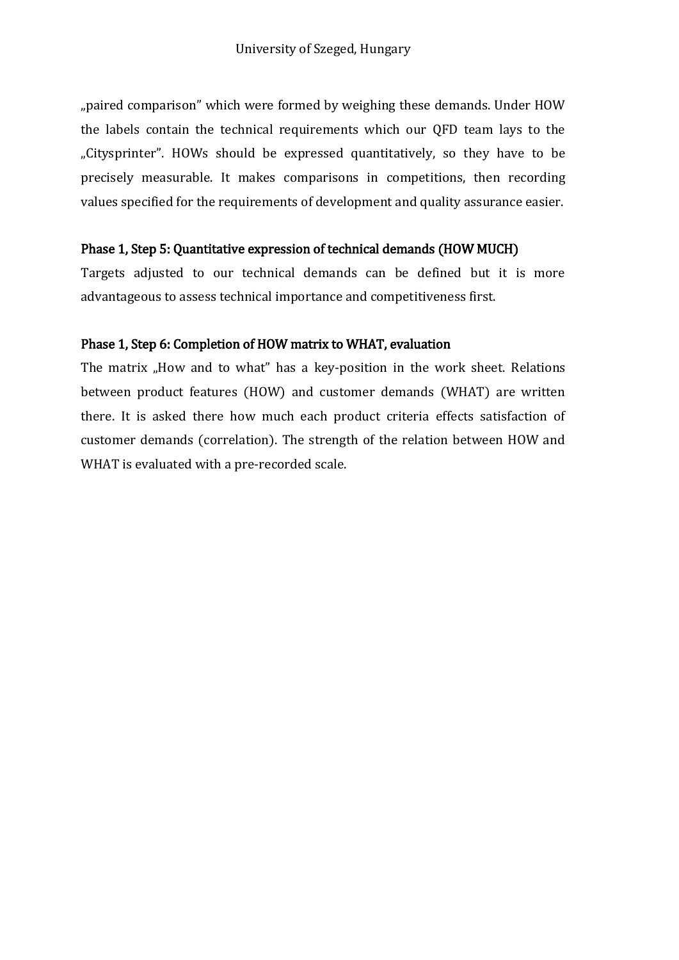"paired comparison" which were formed by weighing these demands. Under HOW the labels contain the technical requirements which our QFD team lays to the "Citysprinter". HOWs should be expressed quantitatively, so they have to be precisely measurable. It makes comparisons in competitions, then recording values specified for the requirements of development and quality assurance easier.

#### Phase 1, Step 5: Quantitative expression of technical demands (HOW MUCH)

Targets adjusted to our technical demands can be defined but it is more advantageous to assess technical importance and competitiveness first.

#### Phase 1, Step 6: Completion of HOW matrix to WHAT, evaluation

The matrix "How and to what" has a key-position in the work sheet. Relations between product features (HOW) and customer demands (WHAT) are written there. It is asked there how much each product criteria effects satisfaction of customer demands (correlation). The strength of the relation between HOW and WHAT is evaluated with a pre-recorded scale.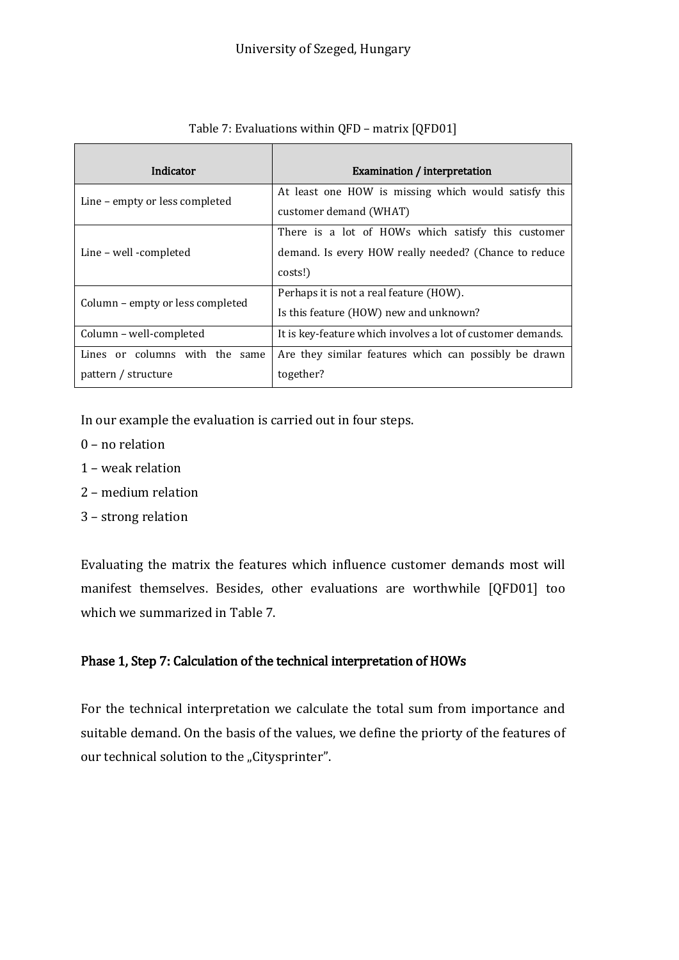| Indicator                                                | Examination / interpretation                                                                                           |
|----------------------------------------------------------|------------------------------------------------------------------------------------------------------------------------|
| Line – empty or less completed                           | At least one HOW is missing which would satisfy this<br>customer demand (WHAT)                                         |
| Line – well -completed                                   | There is a lot of HOWs which satisfy this customer<br>demand. Is every HOW really needed? (Chance to reduce<br>costs!) |
| Column – empty or less completed                         | Perhaps it is not a real feature (HOW).<br>Is this feature (HOW) new and unknown?                                      |
| Column - well-completed                                  | It is key-feature which involves a lot of customer demands.                                                            |
| Lines or columns with the<br>same<br>pattern / structure | Are they similar features which can possibly be drawn<br>together?                                                     |

#### Table 7: Evaluations within QFD – matrix [QFD01]

In our example the evaluation is carried out in four steps.

- 0 no relation
- 1 weak relation
- 2 medium relation
- 3 strong relation

Evaluating the matrix the features which influence customer demands most will manifest themselves. Besides, other evaluations are worthwhile [QFD01] too which we summarized in Table 7.

#### Phase 1, Step 7: Calculation of the technical interpretation of HOWs

For the technical interpretation we calculate the total sum from importance and suitable demand. On the basis of the values, we define the priorty of the features of our technical solution to the "Citysprinter".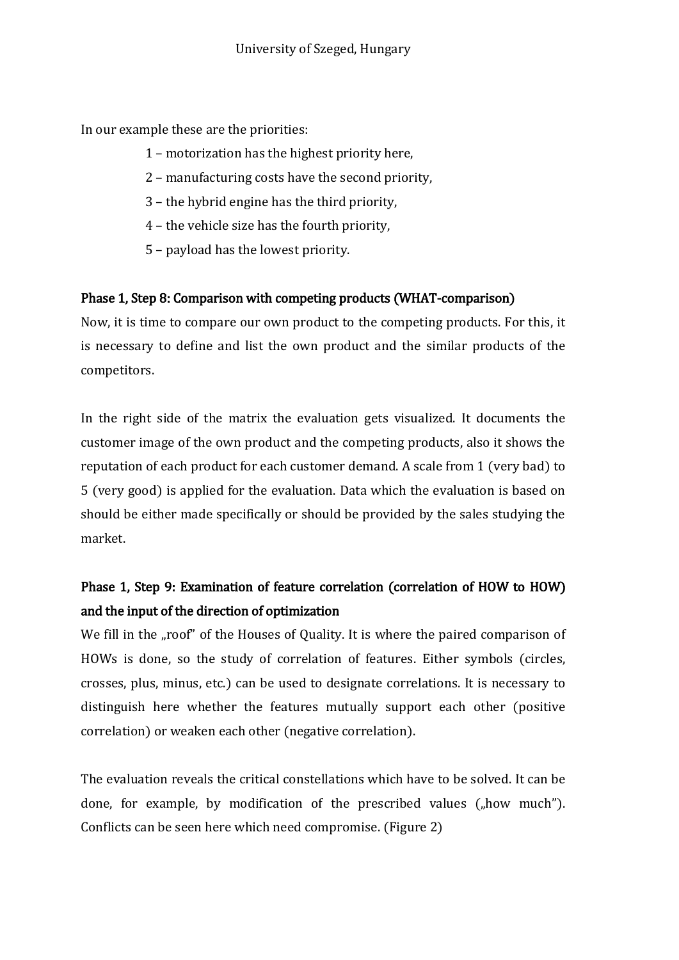In our example these are the priorities:

- 1 motorization has the highest priority here,
- 2 manufacturing costs have the second priority,
- 3 the hybrid engine has the third priority,
- 4 the vehicle size has the fourth priority,
- 5 payload has the lowest priority.

#### Phase 1, Step 8: Comparison with competing products (WHAT-comparison)

Now, it is time to compare our own product to the competing products. For this, it is necessary to define and list the own product and the similar products of the competitors.

In the right side of the matrix the evaluation gets visualized. It documents the customer image of the own product and the competing products, also it shows the reputation of each product for each customer demand. A scale from 1 (very bad) to 5 (very good) is applied for the evaluation. Data which the evaluation is based on should be either made specifically or should be provided by the sales studying the market.

## Phase 1, Step 9: Examination of feature correlation (correlation of HOW to HOW) and the input of the direction of optimization

We fill in the "roof" of the Houses of Quality. It is where the paired comparison of HOWs is done, so the study of correlation of features. Either symbols (circles, crosses, plus, minus, etc.) can be used to designate correlations. It is necessary to distinguish here whether the features mutually support each other (positive correlation) or weaken each other (negative correlation).

The evaluation reveals the critical constellations which have to be solved. It can be done, for example, by modification of the prescribed values  $($ "how much"). Conflicts can be seen here which need compromise. (Figure 2)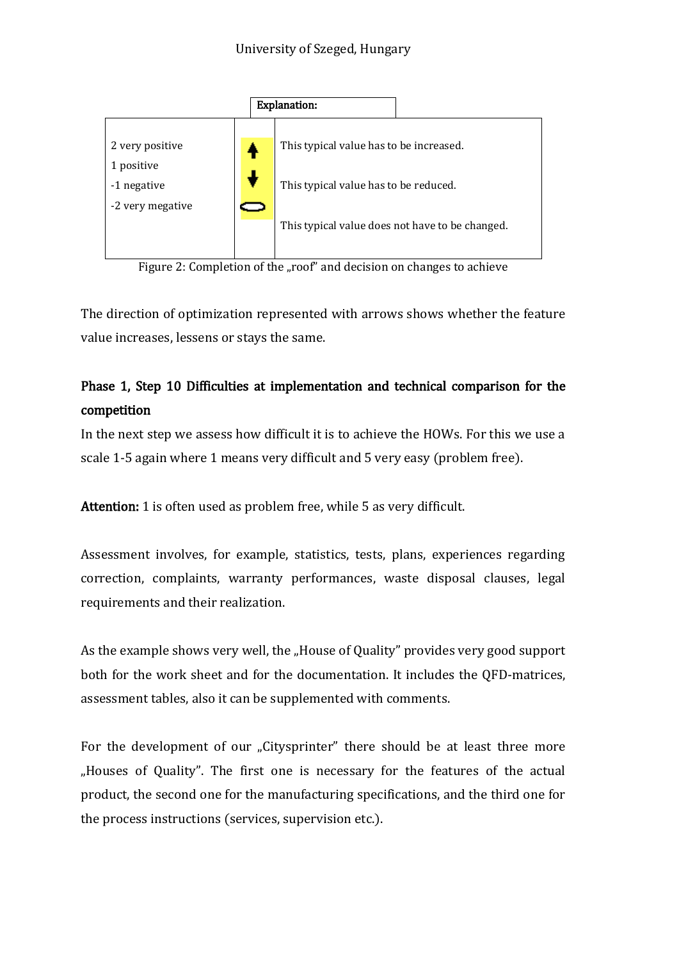

Figure 2: Completion of the "roof" and decision on changes to achieve

The direction of optimization represented with arrows shows whether the feature value increases, lessens or stays the same.

## Phase 1, Step 10 Difficulties at implementation and technical comparison for the competition

In the next step we assess how difficult it is to achieve the HOWs. For this we use a scale 1-5 again where 1 means very difficult and 5 very easy (problem free).

Attention: 1 is often used as problem free, while 5 as very difficult.

Assessment involves, for example, statistics, tests, plans, experiences regarding correction, complaints, warranty performances, waste disposal clauses, legal requirements and their realization.

As the example shows very well, the "House of Quality" provides very good support both for the work sheet and for the documentation. It includes the QFD-matrices, assessment tables, also it can be supplemented with comments.

For the development of our "Citysprinter" there should be at least three more "Houses of Quality". The first one is necessary for the features of the actual product, the second one for the manufacturing specifications, and the third one for the process instructions (services, supervision etc.).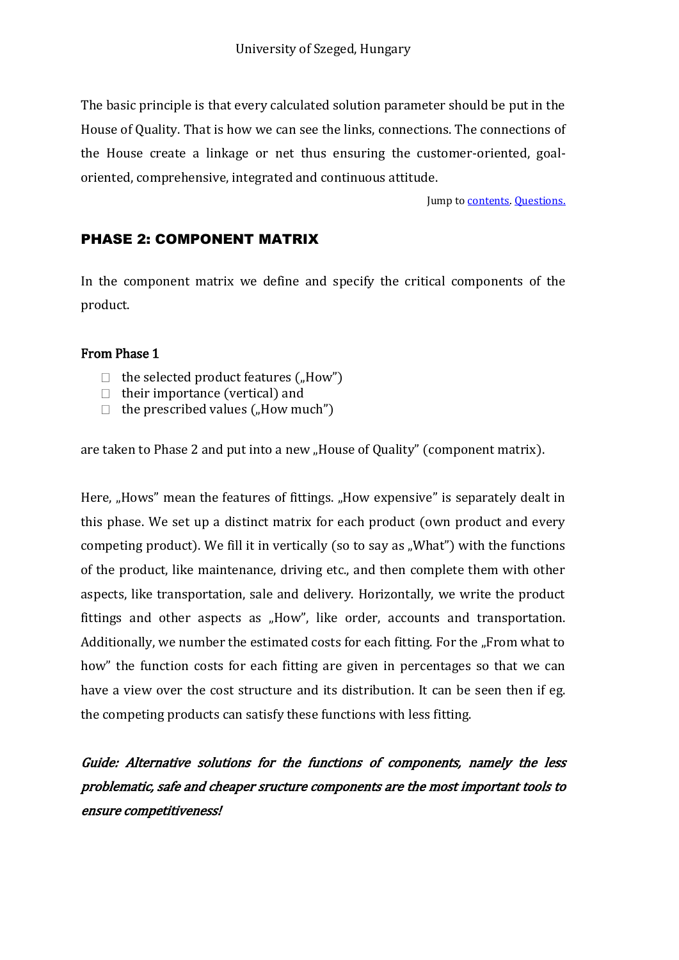The basic principle is that every calculated solution parameter should be put in the House of Quality. That is how we can see the links, connections. The connections of the House create a linkage or net thus ensuring the customer-oriented, goaloriented, comprehensive, integrated and continuous attitude.

Jump t[o contents.](#page-2-0) [Questions.](#page-27-0)

#### <span id="page-24-0"></span>PHASE 2: COMPONENT MATRIX

In the component matrix we define and specify the critical components of the product.

#### From Phase 1

- $\Box$  the selected product features ("How")
- $\Box$  their importance (vertical) and
- $\Box$  the prescribed values (...How much")

are taken to Phase 2 and put into a new "House of Quality" (component matrix).

Here, "Hows" mean the features of fittings. "How expensive" is separately dealt in this phase. We set up a distinct matrix for each product (own product and every competing product). We fill it in vertically (so to say as "What") with the functions of the product, like maintenance, driving etc., and then complete them with other aspects, like transportation, sale and delivery. Horizontally, we write the product fittings and other aspects as "How", like order, accounts and transportation. Additionally, we number the estimated costs for each fitting. For the "From what to how" the function costs for each fitting are given in percentages so that we can have a view over the cost structure and its distribution. It can be seen then if eg. the competing products can satisfy these functions with less fitting.

Guide: Alternative solutions for the functions of components, namely the less problematic, safe and cheaper sructure components are the most important tools to ensure competitiveness!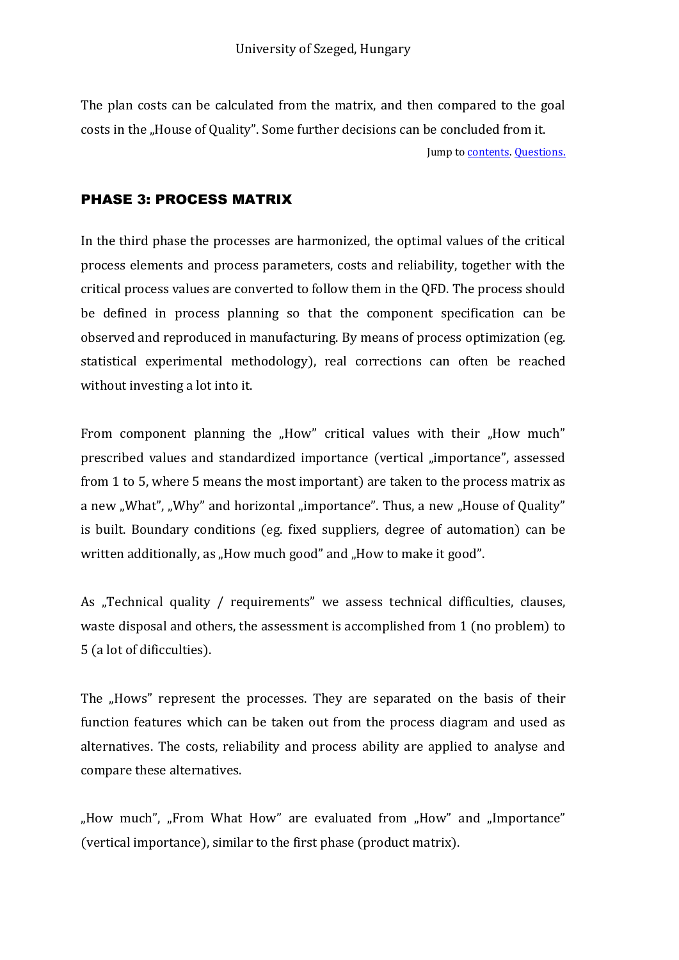The plan costs can be calculated from the matrix, and then compared to the goal costs in the "House of Quality". Some further decisions can be concluded from it. Jump t[o contents.](#page-2-0) [Questions.](#page-27-0)

#### <span id="page-25-0"></span>PHASE 3: PROCESS MATRIX

In the third phase the processes are harmonized, the optimal values of the critical process elements and process parameters, costs and reliability, together with the critical process values are converted to follow them in the QFD. The process should be defined in process planning so that the component specification can be observed and reproduced in manufacturing. By means of process optimization (eg. statistical experimental methodology), real corrections can often be reached without investing a lot into it.

From component planning the "How" critical values with their "How much" prescribed values and standardized importance (vertical "importance", assessed from 1 to 5, where 5 means the most important) are taken to the process matrix as a new "What", "Why" and horizontal "importance". Thus, a new "House of Quality" is built. Boundary conditions (eg. fixed suppliers, degree of automation) can be written additionally, as "How much good" and "How to make it good".

As "Technical quality / requirements" we assess technical difficulties, clauses, waste disposal and others, the assessment is accomplished from 1 (no problem) to 5 (a lot of dificculties).

The "Hows" represent the processes. They are separated on the basis of their function features which can be taken out from the process diagram and used as alternatives. The costs, reliability and process ability are applied to analyse and compare these alternatives.

"How much", "From What How" are evaluated from "How" and "Importance" (vertical importance), similar to the first phase (product matrix).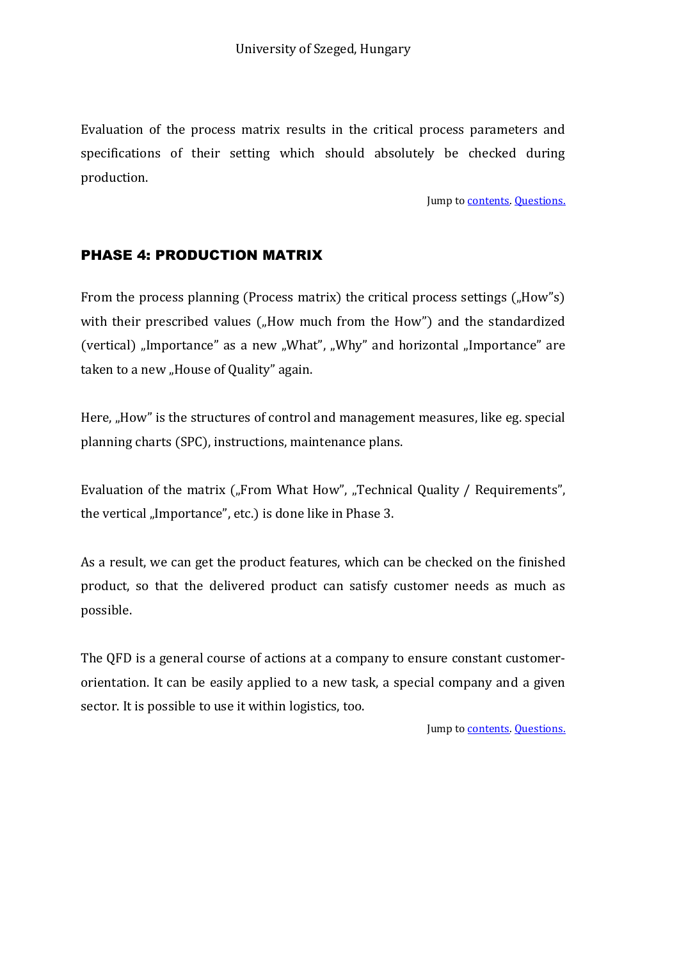Evaluation of the process matrix results in the critical process parameters and specifications of their setting which should absolutely be checked during production.

Jump to **contents**. **Questions.** 

#### <span id="page-26-0"></span>PHASE 4: PRODUCTION MATRIX

From the process planning (Process matrix) the critical process settings  $($ "How"s) with their prescribed values ("How much from the How") and the standardized (vertical) "Importance" as a new "What", "Why" and horizontal "Importance" are taken to a new "House of Quality" again.

Here, "How" is the structures of control and management measures, like eg. special planning charts (SPC), instructions, maintenance plans.

Evaluation of the matrix ("From What How", "Technical Quality / Requirements", the vertical "Importance", etc.) is done like in Phase 3.

As a result, we can get the product features, which can be checked on the finished product, so that the delivered product can satisfy customer needs as much as possible.

The QFD is a general course of actions at a company to ensure constant customerorientation. It can be easily applied to a new task, a special company and a given sector. It is possible to use it within logistics, too.

Jump to **contents**. [Questions.](#page-27-0)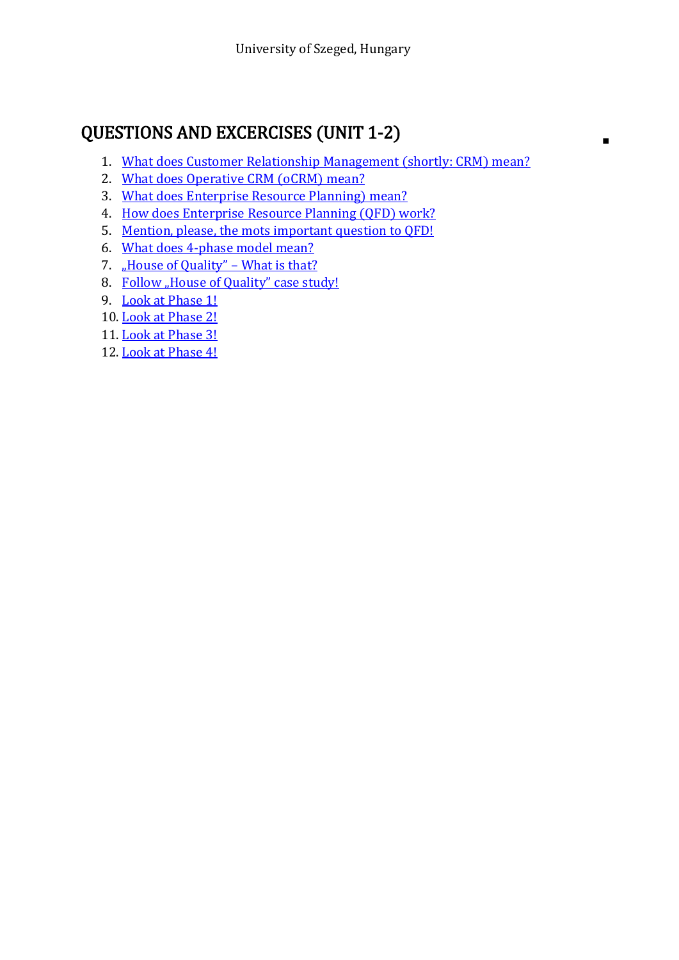## <span id="page-27-0"></span>QUESTIONS AND EXCERCISES (UNIT 1-2)

1. [What does Customer Relationship Management \(shortly: CRM\) mean?](#page-6-0)

 $\blacksquare$ 

- 2. [What does Operative CRM \(oCRM\) mean?](#page-7-0)
- 3. [What does Enterprise Resource Planning\) mean?](#page-8-0)
- 4. [How does Enterprise Resource Planning \(QFD\) work?](#page-12-0)
- 5. [Mention, please, the mots important question to QFD!](#page-13-0)
- 6. [What does 4-phase model mean?](#page-14-1)
- 7. **House of Quality" What is that?**
- 8. [Follow "House of Quality" case study!](#page-16-1)
- 9. [Look at Phase 1!](#page-16-2)
- 10. [Look at Phase 2!](#page-24-0)
- 11. [Look at Phase 3!](#page-25-0)
- 12. [Look at Phase 4!](#page-26-0)